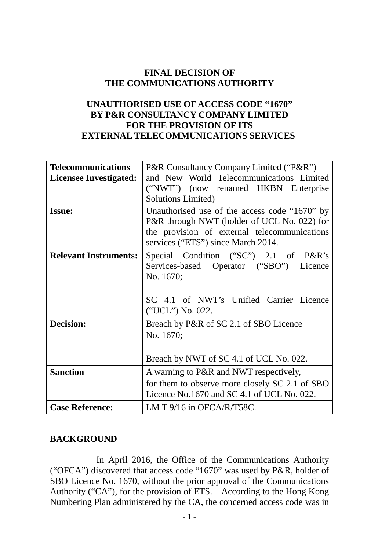### **FINAL DECISION OF THE COMMUNICATIONS AUTHORITY**

# **UNAUTHORISED USE OF ACCESS CODE "1670" BY P&R CONSULTANCY COMPANY LIMITED FOR THE PROVISION OF ITS EXTERNAL TELECOMMUNICATIONS SERVICES**

| <b>Telecommunications</b><br><b>Licensee Investigated:</b> | P&R Consultancy Company Limited ("P&R")<br>and New World Telecommunications Limited<br>("NWT") (now renamed HKBN Enterprise<br><b>Solutions Limited)</b>                           |
|------------------------------------------------------------|------------------------------------------------------------------------------------------------------------------------------------------------------------------------------------|
| <b>Issue:</b>                                              | Unauthorised use of the access code "1670" by<br>P&R through NWT (holder of UCL No. 022) for<br>the provision of external telecommunications<br>services ("ETS") since March 2014. |
| <b>Relevant Instruments:</b>                               | Special Condition ("SC") 2.1 of P&R's<br>Services-based Operator ("SBO")<br>Licence<br>No. 1670;<br>SC 4.1 of NWT's Unified Carrier Licence<br>("UCL") No. 022.                    |
| <b>Decision:</b>                                           | Breach by P&R of SC 2.1 of SBO Licence<br>No. 1670;<br>Breach by NWT of SC 4.1 of UCL No. 022.                                                                                     |
| <b>Sanction</b>                                            | A warning to P&R and NWT respectively,<br>for them to observe more closely SC 2.1 of SBO<br>Licence No.1670 and SC 4.1 of UCL No. 022.                                             |
| <b>Case Reference:</b>                                     | LM T $9/16$ in OFCA/R/T58C.                                                                                                                                                        |

#### **BACKGROUND**

 In April 2016, the Office of the Communications Authority ("OFCA") discovered that access code "1670" was used by P&R, holder of SBO Licence No. 1670, without the prior approval of the Communications Authority ("CA"), for the provision of ETS. According to the Hong Kong Numbering Plan administered by the CA, the concerned access code was in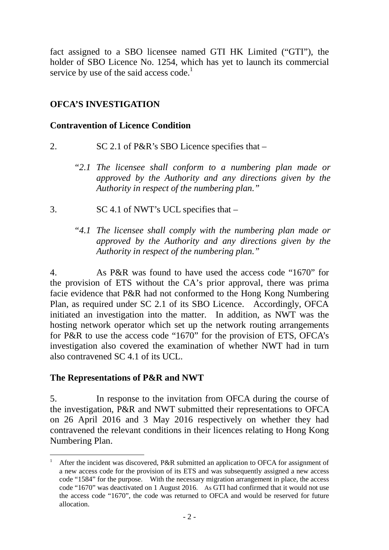fact assigned to a SBO licensee named GTI HK Limited ("GTI"), the holder of SBO Licence No. 1254, which has yet to launch its commercial service by use of the said access code.<sup>1</sup>

# **OFCA'S INVESTIGATION**

### **Contravention of Licence Condition**

- 2. SC 2.1 of P&R's SBO Licence specifies that
	- *"2.1 The licensee shall conform to a numbering plan made or approved by the Authority and any directions given by the Authority in respect of the numbering plan."*
- 3. SC 4.1 of NWT's UCL specifies that –

# *"4.1 The licensee shall comply with the numbering plan made or approved by the Authority and any directions given by the Authority in respect of the numbering plan."*

4. As P&R was found to have used the access code "1670" for the provision of ETS without the CA's prior approval, there was prima facie evidence that P&R had not conformed to the Hong Kong Numbering Plan, as required under SC 2.1 of its SBO Licence. Accordingly, OFCA initiated an investigation into the matter. In addition, as NWT was the hosting network operator which set up the network routing arrangements for P&R to use the access code "1670" for the provision of ETS, OFCA's investigation also covered the examination of whether NWT had in turn also contravened SC 4.1 of its UCL.

## **The Representations of P&R and NWT**

 $\overline{a}$ 

5. In response to the invitation from OFCA during the course of the investigation, P&R and NWT submitted their representations to OFCA on 26 April 2016 and 3 May 2016 respectively on whether they had contravened the relevant conditions in their licences relating to Hong Kong Numbering Plan.

<sup>1</sup> After the incident was discovered, P&R submitted an application to OFCA for assignment of a new access code for the provision of its ETS and was subsequently assigned a new access code "1584" for the purpose. With the necessary migration arrangement in place, the access code "1670" was deactivated on 1 August 2016. As GTI had confirmed that it would not use the access code "1670", the code was returned to OFCA and would be reserved for future allocation.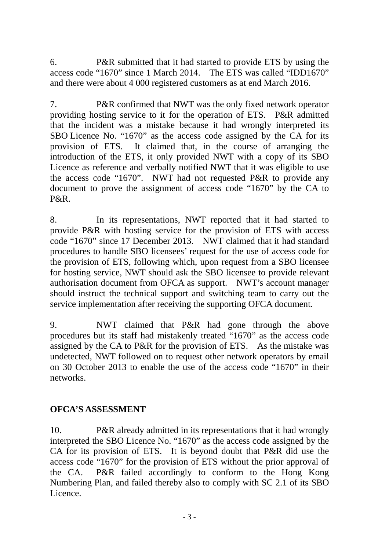6. P&R submitted that it had started to provide ETS by using the access code "1670" since 1 March 2014. The ETS was called "IDD1670" and there were about 4 000 registered customers as at end March 2016.

7. P&R confirmed that NWT was the only fixed network operator providing hosting service to it for the operation of ETS. P&R admitted that the incident was a mistake because it had wrongly interpreted its SBO Licence No. "1670" as the access code assigned by the CA for its provision of ETS. It claimed that, in the course of arranging the introduction of the ETS, it only provided NWT with a copy of its SBO Licence as reference and verbally notified NWT that it was eligible to use the access code "1670". NWT had not requested P&R to provide any document to prove the assignment of access code "1670" by the CA to P&R.

8. In its representations, NWT reported that it had started to provide P&R with hosting service for the provision of ETS with access code "1670" since 17 December 2013. NWT claimed that it had standard procedures to handle SBO licensees' request for the use of access code for the provision of ETS, following which, upon request from a SBO licensee for hosting service, NWT should ask the SBO licensee to provide relevant authorisation document from OFCA as support. NWT's account manager should instruct the technical support and switching team to carry out the service implementation after receiving the supporting OFCA document.

9. NWT claimed that P&R had gone through the above procedures but its staff had mistakenly treated "1670" as the access code assigned by the CA to P&R for the provision of ETS. As the mistake was undetected, NWT followed on to request other network operators by email on 30 October 2013 to enable the use of the access code "1670" in their networks.

## **OFCA'S ASSESSMENT**

10. P&R already admitted in its representations that it had wrongly interpreted the SBO Licence No. "1670" as the access code assigned by the CA for its provision of ETS. It is beyond doubt that P&R did use the access code "1670" for the provision of ETS without the prior approval of the CA. P&R failed accordingly to conform to the Hong Kong Numbering Plan, and failed thereby also to comply with SC 2.1 of its SBO Licence.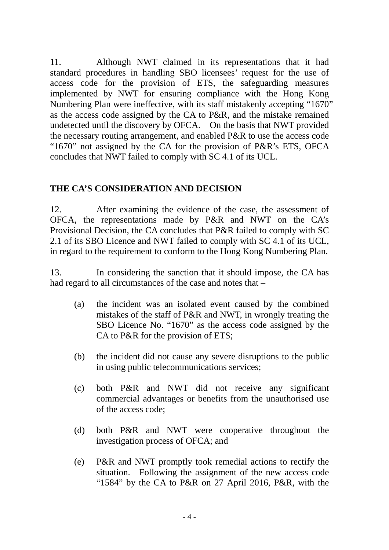11. Although NWT claimed in its representations that it had standard procedures in handling SBO licensees' request for the use of access code for the provision of ETS, the safeguarding measures implemented by NWT for ensuring compliance with the Hong Kong Numbering Plan were ineffective, with its staff mistakenly accepting "1670" as the access code assigned by the CA to P&R, and the mistake remained undetected until the discovery by OFCA. On the basis that NWT provided the necessary routing arrangement, and enabled P&R to use the access code "1670" not assigned by the CA for the provision of P&R's ETS, OFCA concludes that NWT failed to comply with SC 4.1 of its UCL.

### **THE CA'S CONSIDERATION AND DECISION**

12. After examining the evidence of the case, the assessment of OFCA, the representations made by P&R and NWT on the CA's Provisional Decision, the CA concludes that P&R failed to comply with SC 2.1 of its SBO Licence and NWT failed to comply with SC 4.1 of its UCL, in regard to the requirement to conform to the Hong Kong Numbering Plan.

13. In considering the sanction that it should impose, the CA has had regard to all circumstances of the case and notes that –

- (a) the incident was an isolated event caused by the combined mistakes of the staff of P&R and NWT, in wrongly treating the SBO Licence No. "1670" as the access code assigned by the CA to P&R for the provision of ETS;
- (b) the incident did not cause any severe disruptions to the public in using public telecommunications services;
- (c) both P&R and NWT did not receive any significant commercial advantages or benefits from the unauthorised use of the access code;
- (d) both P&R and NWT were cooperative throughout the investigation process of OFCA; and
- (e) P&R and NWT promptly took remedial actions to rectify the situation. Following the assignment of the new access code "1584" by the CA to P&R on 27 April 2016, P&R, with the